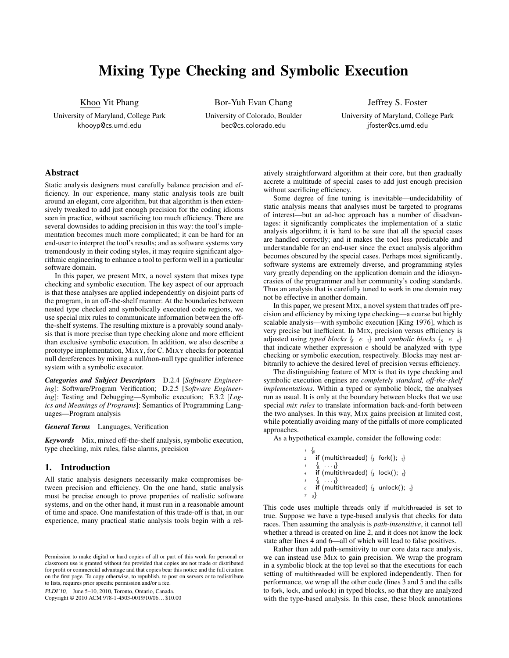# Mixing Type Checking and Symbolic Execution

Khoo Yit Phang

University of Maryland, College Park khooyp@cs.umd.edu

Bor-Yuh Evan Chang University of Colorado, Boulder bec@cs.colorado.edu

Jeffrey S. Foster University of Maryland, College Park jfoster@cs.umd.edu

# Abstract

Static analysis designers must carefully balance precision and efficiency. In our experience, many static analysis tools are built around an elegant, core algorithm, but that algorithm is then extensively tweaked to add just enough precision for the coding idioms seen in practice, without sacrificing too much efficiency. There are several downsides to adding precision in this way: the tool's implementation becomes much more complicated; it can be hard for an end-user to interpret the tool's results; and as software systems vary tremendously in their coding styles, it may require significant algorithmic engineering to enhance a tool to perform well in a particular software domain.

In this paper, we present MIX, a novel system that mixes type checking and symbolic execution. The key aspect of our approach is that these analyses are applied independently on disjoint parts of the program, in an off-the-shelf manner. At the boundaries between nested type checked and symbolically executed code regions, we use special mix rules to communicate information between the offthe-shelf systems. The resulting mixture is a provably sound analysis that is more precise than type checking alone and more efficient than exclusive symbolic execution. In addition, we also describe a prototype implementation, MIXY, for C. MIXY checks for potential null dereferences by mixing a null/non-null type qualifier inference system with a symbolic executor.

*Categories and Subject Descriptors* D.2.4 [*Software Engineering*]: Software/Program Verification; D.2.5 [*Software Engineering*]: Testing and Debugging—Symbolic execution; F.3.2 [*Logics and Meanings of Programs*]: Semantics of Programming Languages—Program analysis

*General Terms* Languages, Verification

*Keywords* Mix, mixed off-the-shelf analysis, symbolic execution, type checking, mix rules, false alarms, precision

## 1. Introduction

All static analysis designers necessarily make compromises between precision and efficiency. On the one hand, static analysis must be precise enough to prove properties of realistic software systems, and on the other hand, it must run in a reasonable amount of time and space. One manifestation of this trade-off is that, in our experience, many practical static analysis tools begin with a rel-

PLDI'10, June 5–10, 2010, Toronto, Ontario, Canada.

Copyright © 2010 ACM 978-1-4503-0019/10/06. . . \$10.00

atively straightforward algorithm at their core, but then gradually accrete a multitude of special cases to add just enough precision without sacrificing efficiency.

Some degree of fine tuning is inevitable—undecidability of static analysis means that analyses must be targeted to programs of interest—but an ad-hoc approach has a number of disadvantages: it significantly complicates the implementation of a static analysis algorithm; it is hard to be sure that all the special cases are handled correctly; and it makes the tool less predictable and understandable for an end-user since the exact analysis algorithm becomes obscured by the special cases. Perhaps most significantly, software systems are extremely diverse, and programming styles vary greatly depending on the application domain and the idiosyncrasies of the programmer and her community's coding standards. Thus an analysis that is carefully tuned to work in one domain may not be effective in another domain.

In this paper, we present MIX, a novel system that trades off precision and efficiency by mixing type checking—a coarse but highly scalable analysis—with symbolic execution [\[King](#page-11-0) [1976\]](#page-11-0), which is very precise but inefficient. In MIX, precision versus efficiency is adjusted using *typed blocks*  $\{t \in t\}$  and *symbolic blocks*  $\{s \in s\}$ that indicate whether expression e should be analyzed with type checking or symbolic execution, respectively. Blocks may nest arbitrarily to achieve the desired level of precision versus efficiency.

The distinguishing feature of MIX is that its type checking and symbolic execution engines are *completely standard, off-the-shelf implementations*. Within a typed or symbolic block, the analyses run as usual. It is only at the boundary between blocks that we use special *mix rules* to translate information back-and-forth between the two analyses. In this way, MIX gains precision at limited cost, while potentially avoiding many of the pitfalls of more complicated approaches.

As a hypothetical example, consider the following code:

$$
\begin{array}{ll}\n & i \quad \{s \\
 \text{if (multithreaded) } \{t \quad \text{fork(); } t\} \\
 & i \quad \{t \quad \ldots \} \\
 & i \quad \text{if (multithreaded) } \{t \quad \text{lock(); } t\} \\
 & \text{if (multithreaded) } \{t \quad \text{unlock(); } t\} \\
 & \text{if (multithreaded) } \{t \quad \text{unlock(); } t\} \\
 & \text{if } s\} \\
 & \text{if } t \quad \text{if } t \quad \text{if } t \quad \text{if } t \quad \text{if } t \quad \text{if } t \quad \text{if } t \quad \text{if } t \quad \text{if } t \quad \text{if } t \quad \text{if } t \quad \text{if } t \quad \text{if } t \quad \text{if } t \quad \text{if } t \quad \text{if } t \quad \text{if } t \quad \text{if } t \quad \text{if } t \quad \text{if } t \quad \text{if } t \quad \text{if } t \quad \text{if } t \quad \text{if } t \quad \text{if } t \quad \text{if } t \quad \text{if } t \quad \text{if } t \quad \text{if } t \quad \text{if } t \quad \text{if } t \quad \text{if } t \quad \text{if } t \quad \text{if } t \quad \text{if } t \quad \text{if } t \quad \text{if } t \quad \text{if } t \quad \text{if } t \quad \text{if } t \quad \text{if } t \quad \text{if } t \quad \text{if } t \quad \text{if } t \quad \text{if } t \quad \text{if } t \quad \text{if } t \quad \text{if } t \quad \text{if } t \quad \text{if } t \quad \text{if } t \quad \text{if } t \quad \text{if } t \quad \text{if } t \quad \text{if } t \quad \text{if } t \quad \text{if } t \quad \text{if } t \quad \text{if } t \quad \text{if } t \quad \text{if } t \quad \text{if } t \quad \text{if } t \quad \text{if } t \quad \text{if } t \quad \text{if } t \quad \text{if } t \quad \text{if } t \quad \text{if } t \quad \text{if } t \quad \text{if } t \quad \text{if } t \quad \text{if } t \quad \text{if } t \quad
$$

This code uses multiple threads only if multithreaded is set to true. Suppose we have a type-based analysis that checks for data races. Then assuming the analysis is *path-insensitive*, it cannot tell whether a thread is created on line 2, and it does not know the lock state after lines 4 and 6—all of which will lead to false positives.

Rather than add path-sensitivity to our core data race analysis, we can instead use MIX to gain precision. We wrap the program in a symbolic block at the top level so that the executions for each setting of multithreaded will be explored independently. Then for performance, we wrap all the other code (lines 3 and 5 and the calls to fork, lock, and unlock) in typed blocks, so that they are analyzed with the type-based analysis. In this case, these block annotations

Permission to make digital or hard copies of all or part of this work for personal or classroom use is granted without fee provided that copies are not made or distributed for profit or commercial advantage and that copies bear this notice and the full citation on the first page. To copy otherwise, to republish, to post on servers or to redistribute to lists, requires prior specific permission and/or a fee.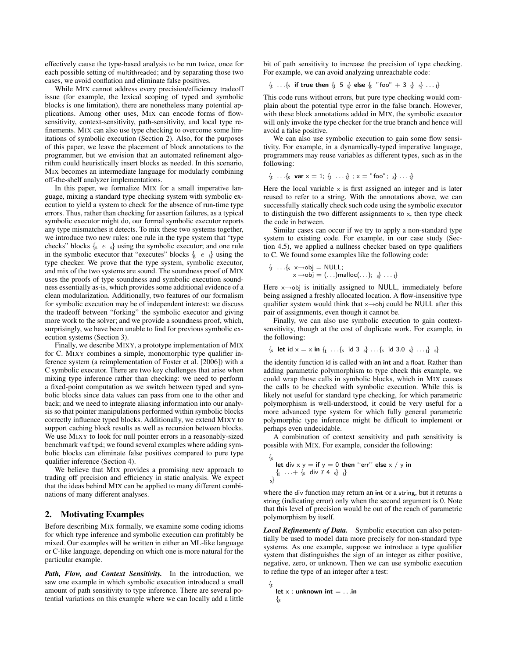effectively cause the type-based analysis to be run twice, once for each possible setting of multithreaded; and by separating those two cases, we avoid conflation and eliminate false positives.

While MIX cannot address every precision/efficiency tradeoff issue (for example, the lexical scoping of typed and symbolic blocks is one limitation), there are nonetheless many potential applications. Among other uses, MIX can encode forms of flowsensitivity, context-sensitivity, path-sensitivity, and local type refinements. MIX can also use type checking to overcome some limitations of symbolic execution [\(Section 2\)](#page-1-0). Also, for the purposes of this paper, we leave the placement of block annotations to the programmer, but we envision that an automated refinement algorithm could heuristically insert blocks as needed. In this scenario, MIX becomes an intermediate language for modularly combining off-the-shelf analyzer implementations.

In this paper, we formalize MIX for a small imperative language, mixing a standard type checking system with symbolic execution to yield a system to check for the absence of run-time type errors. Thus, rather than checking for assertion failures, as a typical symbolic executor might do, our formal symbolic executor reports any type mismatches it detects. To mix these two systems together, we introduce two new rules: one rule in the type system that "type checks" blocks  $\{s \in s\}$  using the symbolic executor; and one rule in the symbolic executor that "executes" blocks  $\{t \mid e_t\}$  using the type checker. We prove that the type system, symbolic executor, and mix of the two systems are sound. The soundness proof of MIX uses the proofs of type soundness and symbolic execution soundness essentially as-is, which provides some additional evidence of a clean modularization. Additionally, two features of our formalism for symbolic execution may be of independent interest: we discuss the tradeoff between "forking" the symbolic executor and giving more work to the solver; and we provide a soundness proof, which, surprisingly, we have been unable to find for previous symbolic execution systems [\(Section 3\)](#page-2-0).

Finally, we describe MIXY, a prototype implementation of MIX for C. MIXY combines a simple, monomorphic type qualifier inference system (a reimplementation of [Foster et al.](#page-11-1) [\[2006\]](#page-11-1)) with a C symbolic executor. There are two key challenges that arise when mixing type inference rather than checking: we need to perform a fixed-point computation as we switch between typed and symbolic blocks since data values can pass from one to the other and back; and we need to integrate aliasing information into our analysis so that pointer manipulations performed within symbolic blocks correctly influence typed blocks. Additionally, we extend MIXY to support caching block results as well as recursion between blocks. We use MIXY to look for null pointer errors in a reasonably-sized benchmark vsftpd; we found several examples where adding symbolic blocks can eliminate false positives compared to pure type qualifier inference [\(Section 4\)](#page-6-0).

We believe that MIX provides a promising new approach to trading off precision and efficiency in static analysis. We expect that the ideas behind MIX can be applied to many different combinations of many different analyses.

# <span id="page-1-0"></span>2. Motivating Examples

Before describing MIX formally, we examine some coding idioms for which type inference and symbolic execution can profitably be mixed. Our examples will be written in either an ML-like language or C-like language, depending on which one is more natural for the particular example.

*Path, Flow, and Context Sensitivity.* In the introduction, we saw one example in which symbolic execution introduced a small amount of path sensitivity to type inference. There are several potential variations on this example where we can locally add a little bit of path sensitivity to increase the precision of type checking. For example, we can avoid analyzing unreachable code:

 $\{t \dots \{s \text{ if true then } \{t \mid 5 \ t\} \text{ else } \{t \text{ "foo" } + 3 \ t\} \ s} \dots \}$ 

This code runs without errors, but pure type checking would complain about the potential type error in the false branch. However, with these block annotations added in MIX, the symbolic executor will only invoke the type checker for the true branch and hence will avoid a false positive.

We can also use symbolic execution to gain some flow sensitivity. For example, in a dynamically-typed imperative language, programmers may reuse variables as different types, such as in the following:

 $\{t \dots \{s \text{ var } x = 1; \{t \dots t\} ; x = "foo"; s\} \dots t\}$ 

Here the local variable  $\times$  is first assigned an integer and is later reused to refer to a string. With the annotations above, we can successfully statically check such code using the symbolic executor to distinguish the two different assignments to x, then type check the code in between.

Similar cases can occur if we try to apply a non-standard type system to existing code. For example, in our case study [\(Sec](#page-9-0)[tion 4.5\)](#page-9-0), we applied a nullness checker based on type qualifiers to C. We found some examples like the following code:

$$
\begin{array}{l}\n\{\mathfrak{t} \ \ldots \{\mathfrak{s} \ \ \mathsf{x}\rightarrow\!\mathsf{obj}=\mathsf{NULL};\}\\
\mathsf{x}\rightarrow\!\mathsf{obj}=\left(\ldots\right)\!\mathsf{malloc}(\ldots);\;\mathfrak{s}\}\ldots\mathfrak{t}\n\end{array}
$$

Here  $x \rightarrow obi$  is initially assigned to NULL, immediately before being assigned a freshly allocated location. A flow-insensitive type qualifier system would think that x→obj could be NULL after this pair of assignments, even though it cannot be.

Finally, we can also use symbolic execution to gain contextsensitivity, though at the cost of duplicate work. For example, in the following:

$$
\{s \text{ let } id \times = x \text{ in } \{t \dots \{s \text{ id } 3 \text{ } s\} \dots \{s \text{ id } 3.0 \text{ } s\} \dots \{t \text{ } s\}
$$

the identity function id is called with an int and a float. Rather than adding parametric polymorphism to type check this example, we could wrap those calls in symbolic blocks, which in MIX causes the calls to be checked with symbolic execution. While this is likely not useful for standard type checking, for which parametric polymorphism is well-understood, it could be very useful for a more advanced type system for which fully general parametric polymorphic type inference might be difficult to implement or perhaps even undecidable.

A combination of context sensitivity and path sensitivity is possible with MIX. For example, consider the following:

$$
\begin{array}{l}\n\{s \\
\text{let div } x \ y = \text{if } y = 0 \text{ then "err" else } x / y \text{ in } \\
\{t \dots + \{s \text{ div } 7 4 s\} \ t\}\n\end{array}
$$

where the div function may return an int or a string, but it returns a string (indicating error) only when the second argument is 0. Note that this level of precision would be out of the reach of parametric polymorphism by itself.

*Local Refinements of Data.* Symbolic execution can also potentially be used to model data more precisely for non-standard type systems. As one example, suppose we introduce a type qualifier system that distinguishes the sign of an integer as either positive, negative, zero, or unknown. Then we can use symbolic execution to refine the type of an integer after a test:

$$
\begin{array}{l}\n\{\mathfrak{t} \text{ let } \mathsf{x} : \mathsf{unknown} \text{ int } = \dots \text{ in } \\
\{\mathfrak{s} \text{ \qquad \qquad }\end{array}
$$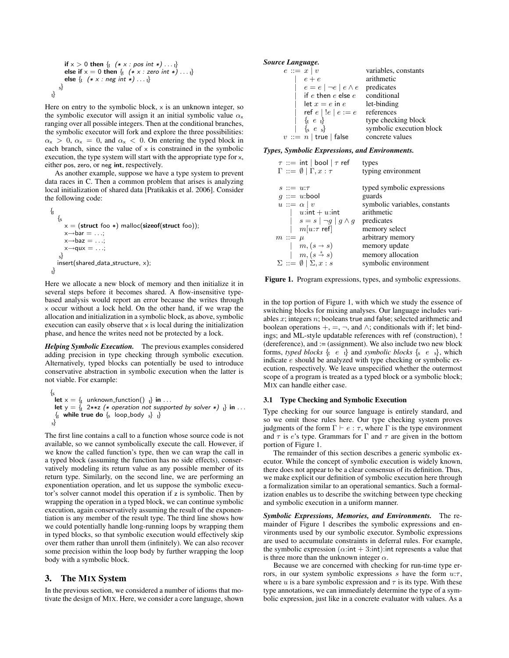```
if x > 0 then \{t \neq x : pos \text{ int } * ) \dots \}else if x = 0 then \{t \neq x : zero \text{ int } *). \ldots \}else \{t \neq x : neg \text{ int } *) \dots \}s}
t}
```
Here on entry to the symbolic block,  $\times$  is an unknown integer, so the symbolic executor will assign it an initial symbolic value  $\alpha_{x}$ ranging over all possible integers. Then at the conditional branches, the symbolic executor will fork and explore the three possibilities:  $\alpha_{x} > 0$ ,  $\alpha_{x} = 0$ , and  $\alpha_{x} < 0$ . On entering the typed block in each branch, since the value of  $\times$  is constrained in the symbolic execution, the type system will start with the appropriate type for x, either pos, zero, or neg int, respectively.

As another example, suppose we have a type system to prevent data races in C. Then a common problem that arises is analyzing local initialization of shared data [\[Pratikakis et al.](#page-11-2) [2006\]](#page-11-2). Consider the following code:

```
{t
   {s
     x = (struct foo *) malloc(sizeof(struct foo));
      x \rightarrow bar = \ldots;x \rightarrow baz = \ldots:
      x \rightarrow qux = ...;s}
   insert(shared_data_structure, x);t}
```
Here we allocate a new block of memory and then initialize it in several steps before it becomes shared. A flow-insensitive typebased analysis would report an error because the writes through x occur without a lock held. On the other hand, if we wrap the allocation and initialization in a symbolic block, as above, symbolic execution can easily observe that  $\times$  is local during the initialization phase, and hence the writes need not be protected by a lock.

*Helping Symbolic Execution.* The previous examples considered adding precision in type checking through symbolic execution. Alternatively, typed blocks can potentially be used to introduce conservative abstraction in symbolic execution when the latter is not viable. For example:

```
\{slet x = \{t unknown function() t\} in ...
 let y = \hat{y} 2**z (* operation not supported by solver *) y in ...
 \{t while true do \{s \} loop body s\} t}
s}
```
The first line contains a call to a function whose source code is not available, so we cannot symbolically execute the call. However, if we know the called function's type, then we can wrap the call in a typed block (assuming the function has no side effects), conservatively modeling its return value as any possible member of its return type. Similarly, on the second line, we are performing an exponentiation operation, and let us suppose the symbolic executor's solver cannot model this operation if z is symbolic. Then by wrapping the operation in a typed block, we can continue symbolic execution, again conservatively assuming the result of the exponentiation is any member of the result type. The third line shows how we could potentially handle long-running loops by wrapping them in typed blocks, so that symbolic execution would effectively skip over them rather than unroll them (infinitely). We can also recover some precision within the loop body by further wrapping the loop body with a symbolic block.

# <span id="page-2-0"></span>3. The MIX System

In the previous section, we considered a number of idioms that motivate the design of MIX. Here, we consider a core language, shown

#### *Source Language.*

| variables, constants                 |
|--------------------------------------|
| arithmetic                           |
| predicates                           |
| if $e$ then $e$ else $e$ conditional |
| let-binding                          |
| references                           |
| type checking block                  |
| symbolic execution block             |
| concrete values                      |
|                                      |

#### *Types, Symbolic Expressions, and Environments.*

|                | $\tau ::= \mathsf{int}   \mathsf{bool}   \tau \mathsf{ref}$<br>$\Gamma ::= \emptyset   \Gamma, x : \tau$ | types<br>typing environment   |
|----------------|----------------------------------------------------------------------------------------------------------|-------------------------------|
|                |                                                                                                          |                               |
| $s ::= u:\tau$ |                                                                                                          | typed symbolic expressions    |
|                | $q ::= u:\text{bool}$                                                                                    | guards                        |
|                | $u ::= \alpha \mid v$                                                                                    | symbolic variables, constants |
|                | $u:\mathsf{int}+u:\mathsf{int}$                                                                          | arithmetic                    |
|                | $s = s   \neg g   g \wedge g$                                                                            | predicates                    |
|                | $m[u:\tau$ ref                                                                                           | memory select                 |
| $m ::= \mu$    |                                                                                                          | arbitrary memory              |
|                | $\left  m,(s \rightarrow s) \right $                                                                     | memory update                 |
|                | $m, (s \stackrel{a}{\rightarrow} s)$                                                                     | memory allocation             |
|                | $\Sigma ::= \emptyset   \Sigma, x : s$                                                                   | symbolic environment          |
|                |                                                                                                          |                               |

<span id="page-2-1"></span>Figure 1. Program expressions, types, and symbolic expressions.

in the top portion of [Figure 1,](#page-2-1) with which we study the essence of switching blocks for mixing analyses. Our language includes variables  $x$ ; integers  $n$ ; booleans true and false; selected arithmetic and boolean operations  $+, =, \neg$ , and  $\wedge$ ; conditionals with if; let bindings; and ML-style updatable references with ref (construction), !  $(derference)$ , and := (assignment). We also include two new block forms, *typed blocks*  $\{t \in \mathbb{R}\}$  and *symbolic blocks*  $\{s \in \mathbb{R}\}$ , which indicate e should be analyzed with type checking or symbolic execution, respectively. We leave unspecified whether the outermost scope of a program is treated as a typed block or a symbolic block; MIX can handle either case.

#### 3.1 Type Checking and Symbolic Execution

Type checking for our source language is entirely standard, and so we omit those rules here. Our type checking system proves judgments of the form  $\Gamma \vdash e : \tau$ , where  $\Gamma$  is the type environment and  $\tau$  is e's type. Grammars for  $\Gamma$  and  $\tau$  are given in the bottom portion of [Figure 1.](#page-2-1)

The remainder of this section describes a generic symbolic executor. While the concept of symbolic execution is widely known, there does not appear to be a clear consensus of its definition. Thus, we make explicit our definition of symbolic execution here through a formalization similar to an operational semantics. Such a formalization enables us to describe the switching between type checking and symbolic execution in a uniform manner.

*Symbolic Expressions, Memories, and Environments.* The remainder of [Figure 1](#page-2-1) describes the symbolic expressions and environments used by our symbolic executor. Symbolic expressions are used to accumulate constraints in deferral rules. For example, the symbolic expression  $(\alpha$ :int + 3:int):int represents a value that is three more than the unknown integer  $\alpha$ .

Because we are concerned with checking for run-time type errors, in our system symbolic expressions s have the form  $u:\tau$ , where u is a bare symbolic expression and  $\tau$  is its type. With these type annotations, we can immediately determine the type of a symbolic expression, just like in a concrete evaluator with values. As a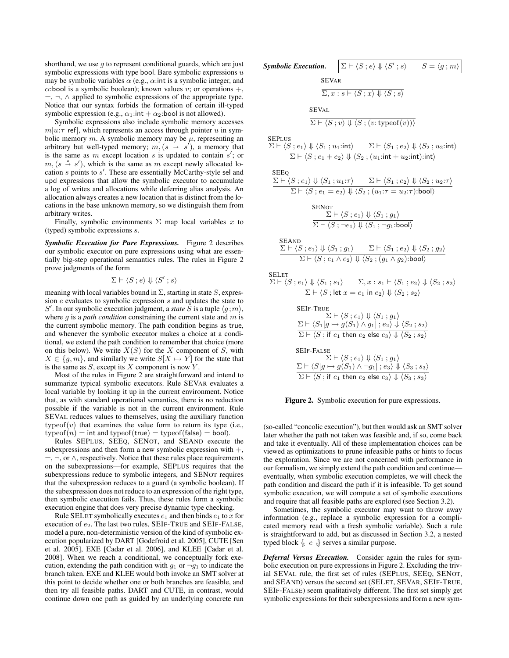shorthand, we use  $g$  to represent conditional guards, which are just symbolic expressions with type bool. Bare symbolic expressions  $u$ may be symbolic variables  $\alpha$  (e.g.,  $\alpha$ :int is a symbolic integer, and  $\alpha$ :bool is a symbolic boolean); known values v; or operations  $+$ ,  $=$ ,  $\neg$ ,  $\wedge$  applied to symbolic expressions of the appropriate type. Notice that our syntax forbids the formation of certain ill-typed symbolic expression (e.g.,  $\alpha_1$ :int +  $\alpha_2$ :bool is not allowed).

Symbolic expressions also include symbolic memory accesses  $m[u:\tau]$  ref, which represents an access through pointer u in symbolic memory m. A symbolic memory may be  $\mu$ , representing an arbitrary but well-typed memory;  $m, (s \rightarrow s')$ , a memory that<br>is the same as m except location s is undated to contain s'; or is the same as  $m$  except location  $s$  is updated to contain  $s'$ ; or  $m$ ,  $(s \stackrel{a}{\rightarrow} s')$ , which is the same as m except newly allocated lo-<br>cation s points to s'. These are essentially McCarthy-style sel and cation  $s$  points to  $s'$ . These are essentially McCarthy-style sel and upd expressions that allow the symbolic executor to accumulate a log of writes and allocations while deferring alias analysis. An allocation always creates a new location that is distinct from the locations in the base unknown memory, so we distinguish them from arbitrary writes.

Finally, symbolic environments  $\Sigma$  map local variables x to (typed) symbolic expressions s.

*Symbolic Execution for Pure Expressions.* [Figure 2](#page-3-0) describes our symbolic executor on pure expressions using what are essentially big-step operational semantics rules. The rules in [Figure 2](#page-3-0) prove judgments of the form

$$
\Sigma \vdash \langle S \, ; \, e \rangle \Downarrow \langle S' \, ; \, s \rangle
$$

meaning with local variables bound in  $\Sigma$ , starting in state  $S$ , expression e evaluates to symbolic expression s and updates the state to S'. In our symbolic execution judgment, a *state*  $\hat{S}$  is a tuple  $\langle g; m \rangle$ , where  $g$  is a *path condition* constraining the current state and  $m$  is the current symbolic memory. The path condition begins as true, and whenever the symbolic executor makes a choice at a conditional, we extend the path condition to remember that choice (more on this below). We write  $X(S)$  for the X component of S, with  $X \in \{g, m\}$ , and similarly we write  $S[X \mapsto Y]$  for the state that is the same as  $S$ , except its  $X$  component is now  $Y$ .

Most of the rules in [Figure 2](#page-3-0) are straightforward and intend to summarize typical symbolic executors. Rule SEVAR evaluates a local variable by looking it up in the current environment. Notice that, as with standard operational semantics, there is no reduction possible if the variable is not in the current environment. Rule SEVAL reduces values to themselves, using the auxiliary function  $typeof(v)$  that examines the value form to return its type (i.e.,  $typeof(n) = int$  and  $typeof(true) = typeof(false) = bool$ .

Rules SEPLUS, SEEQ, SENOT, and SEAND execute the subexpressions and then form a new symbolic expression with  $+$ , =, ¬, or ∧, respectively. Notice that these rules place requirements on the subexpressions—for example, SEPLUS requires that the subexpressions reduce to symbolic integers, and SENOT requires that the subexpression reduces to a guard (a symbolic boolean). If the subexpression does not reduce to an expression of the right type, then symbolic execution fails. Thus, these rules form a symbolic execution engine that does very precise dynamic type checking.

Rule SELET symbolically executes  $e_1$  and then binds  $e_1$  to x for execution of  $e_2$ . The last two rules, SEIF-TRUE and SEIF-FALSE, model a pure, non-deterministic version of the kind of symbolic execution popularized by DART [\[Godefroid et al.](#page-11-3) [2005\]](#page-11-3), CUTE [\[Sen](#page-11-4) [et al.](#page-11-4) [2005\]](#page-11-4), EXE [\[Cadar et al.](#page-11-5) [2006\]](#page-11-5), and KLEE [\[Cadar et al.](#page-11-6) [2008\]](#page-11-6). When we reach a conditional, we conceptually fork execution, extending the path condition with  $q_1$  or  $\neg q_1$  to indicate the branch taken. EXE and KLEE would both invoke an SMT solver at this point to decide whether one or both branches are feasible, and then try all feasible paths. DART and CUTE, in contrast, would continue down one path as guided by an underlying concrete run

| <b>Symbolic Execution.</b> $\left  \Sigma \vdash \langle S ; e \rangle \Downarrow \langle S' ; s \rangle \right.$ $S = \langle g ; m \rangle$                                                                                                                                                                                                              |  |                                                                                                                                                                                                                                                                                                                               |  |
|------------------------------------------------------------------------------------------------------------------------------------------------------------------------------------------------------------------------------------------------------------------------------------------------------------------------------------------------------------|--|-------------------------------------------------------------------------------------------------------------------------------------------------------------------------------------------------------------------------------------------------------------------------------------------------------------------------------|--|
| <b>SEVAR</b>                                                                                                                                                                                                                                                                                                                                               |  |                                                                                                                                                                                                                                                                                                                               |  |
|                                                                                                                                                                                                                                                                                                                                                            |  | $\overline{\Sigma,x:s\vdash \langle S:x\rangle\Downarrow \langle S:s\rangle}$                                                                                                                                                                                                                                                 |  |
| SEVAL                                                                                                                                                                                                                                                                                                                                                      |  |                                                                                                                                                                                                                                                                                                                               |  |
|                                                                                                                                                                                                                                                                                                                                                            |  | $\Sigma \vdash \langle S : v \rangle \Downarrow \langle S : (v : typeof(v)) \rangle$                                                                                                                                                                                                                                          |  |
| SEPLUS<br>$\Sigma \vdash \langle S \, ; e_1 \rangle \Downarrow \langle S_1 \, ; u_1 : \mathsf{int} \rangle$ $\Sigma \vdash \langle S_1 \, ; e_2 \rangle \Downarrow \langle S_2 \, ; u_2 : \mathsf{int} \rangle$<br>$\Sigma \vdash \langle S : e_1 + e_2 \rangle \Downarrow \langle S_2 : (u_1 : \mathsf{int} + u_2 : \mathsf{int}) : \mathsf{int} \rangle$ |  |                                                                                                                                                                                                                                                                                                                               |  |
| SEEO<br>$\frac{\Sigma \vdash \langle S \, ; \, e_1 \rangle \Downarrow \langle S_1 \, ; \, u_1 : \tau \rangle \qquad \Sigma \vdash \langle S_1 \, ; \, e_2 \rangle \Downarrow \langle S_2 \, ; \, u_2 : \tau \rangle}{\Sigma \vdash \langle S \, ; \, e_1 = e_2 \rangle \Downarrow \langle S_2 \, ; \, (u_1 : \tau = u_2 : \tau) : \text{bool} \rangle}$    |  |                                                                                                                                                                                                                                                                                                                               |  |
| SENOT                                                                                                                                                                                                                                                                                                                                                      |  | $\Sigma \vdash \langle S \, ; e_1 \rangle \Downarrow \langle S_1 \, ; g_1 \rangle$<br>$\Sigma \vdash \langle S : \neg e_1 \rangle \Downarrow \langle S_1 : \neg g_1 : \mathsf{bool} \rangle$                                                                                                                                  |  |
| <b>SEAND</b><br>$\Sigma \vdash \langle S \, ; e_1 \rangle \Downarrow \langle S_1 \, ; g_1 \rangle \qquad \Sigma \vdash \langle S_1 \, ; e_2 \rangle \Downarrow \langle S_2 \, ; g_2 \rangle$                                                                                                                                                               |  | $\Sigma \vdash \langle S; e_1 \wedge e_2 \rangle \Downarrow \langle S_2; (g_1 \wedge g_2): \mathsf{bool} \rangle$                                                                                                                                                                                                             |  |
| <b>SELET</b><br>$\frac{\sum \vdash \langle S : e_1 \rangle \Downarrow \langle S_1 : s_1 \rangle}{\sum \vdash \langle S : \mathsf{let}\ x = e_1\ \mathsf{in}\ e_2 \rangle \Downarrow \langle S_2 : s_2 \rangle}$                                                                                                                                            |  |                                                                                                                                                                                                                                                                                                                               |  |
| <b>SEIF-TRUE</b>                                                                                                                                                                                                                                                                                                                                           |  | $\Sigma \vdash \langle S : e_1 \rangle \Downarrow \langle S_1 : g_1 \rangle$<br>$\Sigma \vdash \langle S_1[g \mapsto g(S_1) \wedge g_1] \, ; e_2 \rangle \Downarrow \langle S_2 \, ; s_2 \rangle$<br>$\overline{\Sigma \vdash \langle S \rangle}$ if $e_1$ then $e_2$ else $e_3 \rangle \Downarrow \langle S_2 ; s_2 \rangle$ |  |
| SEIF-FALSE                                                                                                                                                                                                                                                                                                                                                 |  | $\Sigma \vdash \langle S : e_1 \rangle \Downarrow \langle S_1 : q_1 \rangle$<br>$\Sigma \vdash \langle S[g \mapsto g(S_1) \land \neg g_1] ; e_3 \rangle \Downarrow \langle S_3 ; s_3 \rangle$<br>$\overline{\Sigma \vdash \langle S \rangle}$ if $e_1$ then $e_2$ else $e_3 \rangle \Downarrow \langle S_3 ; s_3 \rangle$     |  |

<span id="page-3-0"></span>Figure 2. Symbolic execution for pure expressions.

(so-called "concolic execution"), but then would ask an SMT solver later whether the path not taken was feasible and, if so, come back and take it eventually. All of these implementation choices can be viewed as optimizations to prune infeasible paths or hints to focus the exploration. Since we are not concerned with performance in our formalism, we simply extend the path condition and continue eventually, when symbolic execution completes, we will check the path condition and discard the path if it is infeasible. To get sound symbolic execution, we will compute a set of symbolic executions and require that all feasible paths are explored (see [Section 3.2\)](#page-5-0).

Sometimes, the symbolic executor may want to throw away information (e.g., replace a symbolic expression for a complicated memory read with a fresh symbolic variable). Such a rule is straightforward to add, but as discussed in [Section 3.2,](#page-5-0) a nested typed block  $\{t \in \mathcal{C}\}$  serves a similar purpose.

*Deferral Versus Execution.* Consider again the rules for symbolic execution on pure expressions in [Figure 2.](#page-3-0) Excluding the trivial SEVAL rule, the first set of rules (SEPLUS, SEEQ, SENOT, and SEAND) versus the second set (SELET, SEVAR, SEIF-TRUE, SEIF-FALSE) seem qualitatively different. The first set simply get symbolic expressions for their subexpressions and form a new sym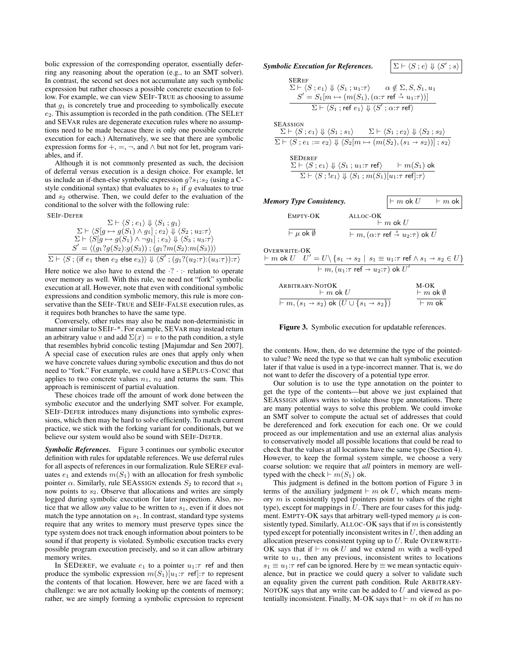bolic expression of the corresponding operator, essentially deferring any reasoning about the operation (e.g., to an SMT solver). In contrast, the second set does not accumulate any such symbolic expression but rather chooses a possible concrete execution to follow. For example, we can view SEIF-TRUE as choosing to assume that  $g_1$  is concretely true and proceeding to symbolically execute  $e_2$ . This assumption is recorded in the path condition. (The SELET and SEVAR rules are degenerate execution rules where no assumptions need to be made because there is only one possible concrete execution for each.) Alternatively, we see that there are symbolic expression forms for  $+$ ,  $=$ ,  $\neg$ , and  $\wedge$  but not for let, program variables, and if.

Although it is not commonly presented as such, the decision of deferral versus execution is a design choice. For example, let us include an if-then-else symbolic expression  $g?s_1:s_2$  (using a Cstyle conditional syntax) that evaluates to  $s_1$  if g evaluates to true and  $s<sub>2</sub>$  otherwise. Then, we could defer to the evaluation of the conditional to the solver with the following rule:

SEIF-DEFER

 $\Sigma \vdash \langle S \,; e_1 \rangle \Downarrow \langle S_1 \,; g_1 \rangle$  $\Sigma \vdash \langle S[g \mapsto g(S_1) \wedge g_1] ; e_2 \rangle \Downarrow \langle S_2 ; u_2 : \tau \rangle$  $\Sigma \vdash \langle S[g \mapsto g(S_1) \land \neg g_1] ; e_3 \rangle \Downarrow \langle S_3 ; u_3 : \tau \rangle$  $S' = \langle (g_1?g(S_2):g(S_3)) ; (g_1?m(S_2):m(S_3)) \rangle$  $\Sigma \vdash \langle S\,;\mathrm{(if~}e_1~\mathrm{then~}e_2~\mathrm{else~}e_3)\rangle \Downarrow \langle S'~; (g_1?(u_2:\tau) {:}(u_3:\tau)){:}\tau\rangle$ 

Here notice we also have to extend the  $\cdot$ ?  $\cdot$  : relation to operate over memory as well. With this rule, we need not "fork" symbolic execution at all. However, note that even with conditional symbolic expressions and condition symbolic memory, this rule is more conservative than the SEIF-TRUE and SEIF-FALSE execution rules, as it requires both branches to have the same type.

Conversely, other rules may also be made non-deterministic in manner similar to SEIF-\*. For example, SEVAR may instead return an arbitrary value v and add  $\Sigma(x) = v$  to the path condition, a style that resembles hybrid concolic testing [\[Majumdar and Sen](#page-11-7) [2007\]](#page-11-7). A special case of execution rules are ones that apply only when we have concrete values during symbolic execution and thus do not need to "fork." For example, we could have a SEPLUS-CONC that applies to two concrete values  $n_1$ ,  $n_2$  and returns the sum. This approach is reminiscent of partial evaluation.

These choices trade off the amount of work done between the symbolic executor and the underlying SMT solver. For example, SEIF-DEFER introduces many disjunctions into symbolic expressions, which then may be hard to solve efficiently. To match current practice, we stick with the forking variant for conditionals, but we believe our system would also be sound with SEIF-DEFER.

*Symbolic References.* [Figure 3](#page-4-0) continues our symbolic executor definition with rules for updatable references. We use deferral rules for all aspects of references in our formalization. Rule SEREF evaluates  $e_1$  and extends  $m(S_1)$  with an allocation for fresh symbolic pointer  $\alpha$ . Similarly, rule SEAsSIGN extends  $S_2$  to record that  $s_1$ now points to  $s_2$ . Observe that allocations and writes are simply logged during symbolic execution for later inspection. Also, notice that we allow *any* value to be written to  $s_1$ , even if it does not match the type annotation on  $s_1$ . In contrast, standard type systems require that any writes to memory must preserve types since the type system does not track enough information about pointers to be sound if that property is violated. Symbolic execution tracks every possible program execution precisely, and so it can allow arbitrary memory writes.

In SEDEREF, we evaluate  $e_1$  to a pointer  $u_1$ : $\tau$  ref and then produce the symbolic expression  $m(S_1)[u_1:\tau \text{ ref}]:\tau$  to represent the contents of that location. However, here we are faced with a challenge: we are not actually looking up the contents of memory; rather, we are simply forming a symbolic expression to represent

| Symbolic Execution for References.                                                                                                                                                                                                                                                                                                                                       | $\mid \Sigma \vdash \langle S \, ; \, e \rangle \Downarrow \langle S' \, ; \, s \rangle \mid$ |
|--------------------------------------------------------------------------------------------------------------------------------------------------------------------------------------------------------------------------------------------------------------------------------------------------------------------------------------------------------------------------|-----------------------------------------------------------------------------------------------|
| <b>SEREF</b><br>$\Sigma \vdash \langle S : e_1 \rangle \Downarrow \langle S_1 : u_1 : \tau \rangle \qquad \alpha \notin \Sigma, S, S_1, u_1$<br>$S' = S_1[m \mapsto (m(S_1), (\alpha : \tau \text{ ref} \stackrel{a}{\rightarrow} u_1 : \tau))]$<br>$\Sigma \vdash \langle S_1 ; \mathsf{ref}\ e_1 \rangle \Downarrow \langle S' ; \alpha : \tau \ \mathsf{ref} \rangle$ |                                                                                               |
| <b>SEASSIGN</b><br>$\Sigma \vdash \langle S : e_1 \rangle \Downarrow \langle S_1 : s_1 \rangle$ $\Sigma \vdash \langle S_1 : e_2 \rangle \Downarrow \langle S_2 : s_2 \rangle$<br>$\Sigma \vdash \langle S : e_1 := e_2 \rangle \Downarrow \langle S_2   m \mapsto (m(S_2), (s_1 \rightarrow s_2))   ; s_2 \rangle$                                                      |                                                                                               |
| <b>SEDEREF</b><br>$\Sigma \vdash \langle S : e_1 \rangle \Downarrow \langle S_1 : u_1 : \tau \text{ ref} \rangle$ $\vdash m(S_1)$ ok<br>$\Sigma \vdash \langle S ; !e_1 \rangle \Downarrow \langle S_1 ; m(S_1)   u_1 : \tau \text{ ref}   : \tau \rangle$                                                                                                               |                                                                                               |
| Memory Type Consistency.                                                                                                                                                                                                                                                                                                                                                 | $\vdash m$ ok $U \quad \vdash m$ ok                                                           |

| emory Type Consistency.     | $\mid$ $\vdash m$ ok $U$<br>$  m$ ok                                                                  |  |
|-----------------------------|-------------------------------------------------------------------------------------------------------|--|
| EMPTY-OK                    | ALLOC-OK                                                                                              |  |
| $\vdash \mu$ ok $\emptyset$ | $\vdash m$ ok $U$<br>$\vdash m, (\alpha:\tau \text{ ref } \stackrel{a}{\rightarrow} u_2:\tau)$ ok $U$ |  |

OVERWRITE-OK<br>  $\vdash m$  ok  $U$   $U'=U\setminus \{s_1 \to s_2 \mid s_1 \equiv u_1: \tau \text{ ref} \land s_1 \to s_2 \in U\}$  $\vdash m,(u_1:\tau$  ref  $\rightarrow u_2:\tau)$  ok  $U'$ 

| ARBITRARY-NOTOK                                                        | M-OK                      |
|------------------------------------------------------------------------|---------------------------|
| $\vdash m$ ok $U$                                                      | $\vdash m$ ok $\emptyset$ |
| $\vdash m,(s_1 \rightarrow s_2)$ ok $(U \cup \{s_1 \rightarrow s_2\})$ | $m \circ k$               |

<span id="page-4-0"></span>Figure 3. Symbolic execution for updatable references.

the contents. How, then, do we determine the type of the pointedto value? We need the type so that we can halt symbolic execution later if that value is used in a type-incorrect manner. That is, we do not want to defer the discovery of a potential type error.

Our solution is to use the type annotation on the pointer to get the type of the contents—but above we just explained that SEASSIGN allows writes to violate those type annotations. There are many potential ways to solve this problem. We could invoke an SMT solver to compute the actual set of addresses that could be dereferenced and fork execution for each one. Or we could proceed as our implementation and use an external alias analysis to conservatively model all possible locations that could be read to check that the values at all locations have the same type [\(Section 4\)](#page-6-0). However, to keep the formal system simple, we choose a very coarse solution: we require that *all* pointers in memory are welltyped with the check  $\vdash m(S_1)$  ok.

This judgment is defined in the bottom portion of [Figure 3](#page-4-0) in terms of the auxiliary judgment  $\vdash m$  ok U, which means memory m is consistently typed (pointers point to values of the right type), except for mappings in  $\bar{U}$ . There are four cases for this judgment. EMPTY-OK says that arbitrary well-typed memory  $\mu$  is consistently typed. Similarly, ALLOC-OK says that if  $m$  is consistently typed except for potentially inconsistent writes in  $U$ , then adding an allocation preserves consistent typing up to  $U$ . Rule OVERWRITE-OK says that if  $\vdash m$  ok U and we extend m with a well-typed write to  $u_1$ , then any previous, inconsistent writes to locations  $s_1 \equiv u_1$ :  $\tau$  ref can be ignored. Here by  $\equiv$  we mean syntactic equivalence, but in practice we could query a solver to validate such an equality given the current path condition. Rule ARBITRARY-NOTOK says that any write can be added to  $U$  and viewed as potentially inconsistent. Finally, M-OK says that  $\vdash m$  ok if m has no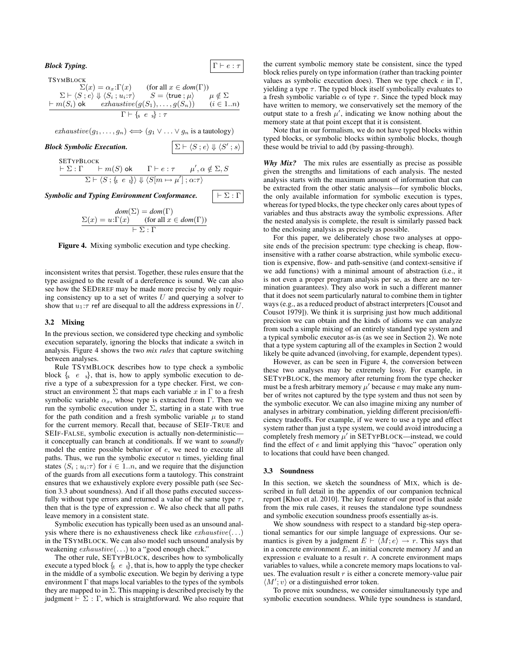| $\Gamma\vdash e:\tau$<br><b>Block Typing.</b>                                                                                                                                                                                                                                                                   |  |  |
|-----------------------------------------------------------------------------------------------------------------------------------------------------------------------------------------------------------------------------------------------------------------------------------------------------------------|--|--|
| <b>TSYMBLOCK</b><br>$\Sigma(x) = \alpha_x : \Gamma(x)$ (for all $x \in dom(\Gamma)$ )<br>$\Sigma \vdash \langle S : e \rangle \Downarrow \langle S_i : u_i : \tau \rangle$ $S = \langle \text{true} : \mu \rangle$ $\mu \notin \Sigma$<br>$\vdash m(S_i)$ ok exhaustive $(g(S_1), \ldots, g(S_n))$ $(i \in 1n)$ |  |  |
| $\Gamma \vdash \{s \ e \ s\} : \tau$                                                                                                                                                                                                                                                                            |  |  |
| $exhaustive(g_1, , g_n) \Longleftrightarrow (g_1 \vee  \vee g_n \text{ is a tautology})$                                                                                                                                                                                                                        |  |  |
| $\mid \Sigma \vdash \langle S \, ; e \rangle \Downarrow \langle S' \, ; s \rangle \mid$<br><b>Block Symbolic Execution.</b>                                                                                                                                                                                     |  |  |
| <b>SETYPBLOCK</b><br>$\vdash \Sigma : \Gamma$ $\vdash m(S)$ ok $\Gamma \vdash e : \tau$ $\mu', \alpha \notin \Sigma, S$<br>$\Sigma \vdash \langle S ; \{t e_t\} \rangle \Downarrow \langle S[m \mapsto \mu'] ; \alpha : \tau \rangle$                                                                           |  |  |
| $\mathsf{I} \vDash \Sigma : \Gamma$<br><b>Symbolic and Typing Environment Conformance.</b>                                                                                                                                                                                                                      |  |  |

<span id="page-5-1"></span>
$$
\underline{\Sigma(x) = u:\Gamma(x) \qquad \text{(for all } x \in \text{dom}(\Gamma))}
$$
\n
$$
\frac{\Sigma(x) = u:\Gamma(x) \qquad \text{(for all } x \in \text{dom}(\Gamma))}{\vdash \Sigma : \Gamma}
$$

Figure 4. Mixing symbolic execution and type checking.

inconsistent writes that persist. Together, these rules ensure that the type assigned to the result of a dereference is sound. We can also see how the SEDEREF may be made more precise by only requiring consistency up to a set of writes  $U$  and querying a solver to show that  $u_1$ : $\tau$  ref are disequal to all the address expressions in U.

#### <span id="page-5-0"></span>3.2 Mixing

In the previous section, we considered type checking and symbolic execution separately, ignoring the blocks that indicate a switch in analysis. [Figure 4](#page-5-1) shows the two *mix rules* that capture switching between analyses.

Rule TSYMBLOCK describes how to type check a symbolic block  $\{s \in s\}$ , that is, how to apply symbolic execution to derive a type of a subexpression for a type checker. First, we construct an environment  $\Sigma$  that maps each variable x in  $\Gamma$  to a fresh symbolic variable  $\alpha_x$ , whose type is extracted from Γ. Then we run the symbolic execution under  $\Sigma$ , starting in a state with true for the path condition and a fresh symbolic variable  $\mu$  to stand for the current memory. Recall that, because of SEIF-TRUE and SEIF-FALSE, symbolic execution is actually non-deterministic it conceptually can branch at conditionals. If we want to *soundly* model the entire possible behavior of e, we need to execute all paths. Thus, we run the symbolic executor  $n$  times, yielding final states  $\langle S_i ; u_i : \tau \rangle$  for  $i \in 1..n$ , and we require that the disjunction of the guards from all executions form a tautology. This constraint ensures that we exhaustively explore every possible path (see [Sec](#page-5-2)[tion 3.3](#page-5-2) about soundness). And if all those paths executed successfully without type errors and returned a value of the same type  $\tau$ , then that is the type of expression e. We also check that all paths leave memory in a consistent state.

Symbolic execution has typically been used as an unsound analysis where there is no exhaustiveness check like  $\mathit{exhaustive}(...)$ in the TSYMBLOCK. We can also model such unsound analysis by weakening  $\emph{exhaustive}(...)$  to a "good enough check."

The other rule, SETYPBLOCK, describes how to symbolically execute a typed block  $\{t \mid e_t\}$ , that is, how to apply the type checker in the middle of a symbolic execution. We begin by deriving a type environment  $\Gamma$  that maps local variables to the types of the symbols they are mapped to in  $\Sigma$ . This mapping is described precisely by the judgment  $\vdash \Sigma : \Gamma$ , which is straightforward. We also require that the current symbolic memory state be consistent, since the typed block relies purely on type information (rather than tracking pointer values as symbolic execution does). Then we type check  $e$  in  $\Gamma$ , yielding a type  $\tau$ . The typed block itself symbolically evaluates to a fresh symbolic variable  $\alpha$  of type  $\tau$ . Since the typed block may have written to memory, we conservatively set the memory of the output state to a fresh  $\mu'$ , indicating we know nothing about the memory state at that point except that it is consistent.

Note that in our formalism, we do not have typed blocks within typed blocks, or symbolic blocks within symbolic blocks, though these would be trivial to add (by passing-through).

*Why Mix?* The mix rules are essentially as precise as possible given the strengths and limitations of each analysis. The nested analysis starts with the maximum amount of information that can be extracted from the other static analysis—for symbolic blocks, the only available information for symbolic execution is types, whereas for typed blocks, the type checker only cares about types of variables and thus abstracts away the symbolic expressions. After the nested analysis is complete, the result is similarly passed back to the enclosing analysis as precisely as possible.

For this paper, we deliberately chose two analyses at opposite ends of the precision spectrum: type checking is cheap, flowinsensitive with a rather coarse abstraction, while symbolic execution is expensive, flow- and path-sensitive (and context-sensitive if we add functions) with a minimal amount of abstraction (i.e., it is not even a proper program analysis per se, as there are no termination guarantees). They also work in such a different manner that it does not seem particularly natural to combine them in tighter ways (e.g., as a reduced product of abstract interpreters [\[Cousot and](#page-11-8) [Cousot](#page-11-8) [1979\]](#page-11-8)). We think it is surprising just how much additional precision we can obtain and the kinds of idioms we can analyze from such a simple mixing of an entirely standard type system and a typical symbolic executor as-is (as we see in [Section 2\)](#page-1-0). We note that a type system capturing all of the examples in [Section 2](#page-1-0) would likely be quite advanced (involving, for example, dependent types).

However, as can be seen in [Figure 4,](#page-5-1) the conversion between these two analyses may be extremely lossy. For example, in SETYPBLOCK, the memory after returning from the type checker must be a fresh arbitrary memory  $\mu'$  because e may make any number of writes not captured by the type system and thus not seen by the symbolic executor. We can also imagine mixing any number of analyses in arbitrary combination, yielding different precision/efficiency tradeoffs. For example, if we were to use a type and effect system rather than just a type system, we could avoid introducing a completely fresh memory  $\mu'$  in SETYPBLOCK—instead, we could find the effect of e and limit applying this "havoc" operation only to locations that could have been changed.

#### <span id="page-5-2"></span>3.3 Soundness

In this section, we sketch the soundness of MIX, which is described in full detail in the appendix of our companion technical report [Khoo et al. [2010\]](#page-11-9). The key feature of our proof is that aside from the mix rule cases, it reuses the standalone type soundness and symbolic execution soundness proofs essentially as-is.

We show soundness with respect to a standard big-step operational semantics for our simple language of expressions. Our semantics is given by a judgment  $E \vdash \langle M; e \rangle \rightarrow r$ . This says that in a concrete environment  $E$ , an initial concrete memory  $M$  and an expression  $e$  evaluate to a result  $r$ . A concrete environment maps variables to values, while a concrete memory maps locations to values. The evaluation result  $r$  is either a concrete memory-value pair  $\langle M'; v \rangle$  or a distinguished error token.

To prove mix soundness, we consider simultaneously type and symbolic execution soundness. While type soundness is standard,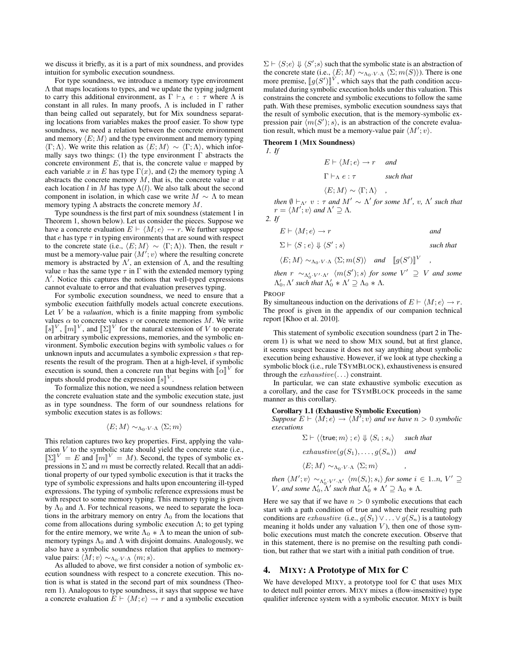we discuss it briefly, as it is a part of mix soundness, and provides intuition for symbolic execution soundness.

For type soundness, we introduce a memory type environment Λ that maps locations to types, and we update the typing judgment to carry this additional environment, as  $\Gamma \vdash_{\Lambda} e : \tau$  where  $\Lambda$  is constant in all rules. In many proofs,  $\Lambda$  is included in  $\Gamma$  rather than being called out separately, but for Mix soundness separating locations from variables makes the proof easier. To show type soundness, we need a relation between the concrete environment and memory  $\langle E; M \rangle$  and the type environment and memory typing  $\langle \Gamma; \Lambda \rangle$ . We write this relation as  $\langle E; M \rangle \sim \langle \Gamma; \Lambda \rangle$ , which informally says two things: (1) the type environment  $\Gamma$  abstracts the concrete environment  $E$ , that is, the concrete value  $v$  mapped by each variable x in E has type  $\Gamma(x)$ , and (2) the memory typing  $\Lambda$ abstracts the concrete memory  $M$ , that is, the concrete value  $v$  at each location l in M has type  $\Lambda(l)$ . We also talk about the second component in isolation, in which case we write  $M \sim \Lambda$  to mean memory typing  $\Lambda$  abstracts the concrete memory  $M$ .

Type soundness is the first part of mix soundness (statement 1 in [Theorem 1,](#page-6-1) shown below). Let us consider the pieces. Suppose we have a concrete evaluation  $E \vdash \langle M; e \rangle \rightarrow r$ . We further suppose that  $e$  has type  $\tau$  in typing environments that are sound with respect to the concrete state (i.e.,  $\langle E; M \rangle \sim \langle \Gamma; \Lambda \rangle$ ). Then, the result r must be a memory-value pair  $\langle M'; v \rangle$  where the resulting concrete memory is abstracted by  $\Lambda'$ , an extension of  $\Lambda$ , and the resulting value v has the same type  $\tau$  in  $\Gamma$  with the extended memory typing Λ 0 . Notice this captures the notions that well-typed expressions cannot evaluate to error and that evaluation preserves typing.

For symbolic execution soundness, we need to ensure that a symbolic execution faithfully models actual concrete executions. Let *V* be a *valuation*, which is a finite mapping from symbolic values  $\alpha$  to concrete values v or concrete memories M. We write  $[[s]]^V$ ,  $[[m]]^V$ , and  $[[\Sigma]]^V$  for the natural extension of V to operate<br>on arbitrary symbolic expressions, memories, and the symbolic enon arbitrary symbolic expressions, memories, and the symbolic environment. Symbolic execution begins with symbolic values  $\alpha$  for unknown inputs and accumulates a symbolic expression  $s$  that represents the result of the program. Then at a high-level, if symbolic execution is sound, then a concrete run that begins with  $\llbracket \alpha \rrbracket^V$  for inputs should produce the expression  $\llbracket \alpha \rrbracket^V$ inputs should produce the expression  $[s]^V$ .<br>To formalize this notion, we need a source

To formalize this notion, we need a soundness relation between the concrete evaluation state and the symbolic execution state, just as in type soundness. The form of our soundness relations for symbolic execution states is as follows:

$$
\langle E; M \rangle \sim_{\Lambda_0 \cdot V \cdot \Lambda} \langle \Sigma; m \rangle
$$

This relation captures two key properties. First, applying the valuation  $V$  to the symbolic state should yield the concrete state (i.e.,  $[\![\Sigma]\!]^V = E$  and  $[\![m]\!]^V = M$ ). Second, the types of symbolic ex-<br>pressions in  $\Sigma$  and m must be correctly related. Recall that an addipressions in  $\Sigma$  and  $m$  must be correctly related. Recall that an additional property of our typed symbolic execution is that it tracks the type of symbolic expressions and halts upon encountering ill-typed expressions. The typing of symbolic reference expressions must be with respect to some memory typing. This memory typing is given by  $\Lambda_0$  and  $\Lambda$ . For technical reasons, we need to separate the locations in the arbitrary memory on entry  $\Lambda_0$  from the locations that come from allocations during symbolic execution  $\Lambda$ ; to get typing for the entire memory, we write  $\Lambda_0 \ast \Lambda$  to mean the union of submemory typings  $\Lambda_0$  and  $\Lambda$  with disjoint domains. Analogously, we also have a symbolic soundness relation that applies to memoryvalue pairs:  $\langle M; v \rangle \sim_{\Lambda_0 \cdot V \cdot \Lambda} \langle m; s \rangle$ .

As alluded to above, we first consider a notion of symbolic execution soundness with respect to a concrete execution. This notion is what is stated in the second part of mix soundness [\(Theo](#page-6-1)[rem 1\)](#page-6-1). Analogous to type soundness, it says that suppose we have a concrete evaluation  $E \vdash \langle M; e \rangle \rightarrow r$  and a symbolic execution

 $\Sigma \vdash \langle S; e \rangle \Downarrow \langle S'; s \rangle$  such that the symbolic state is an abstraction of the concrete state (i.e.,  $\langle E; M \rangle \sim_{\Lambda_0 \cdot V \cdot \Lambda} \langle \Sigma; m(S) \rangle$ ). There is one more premise,  $[g(S')]^{V}$ , which says that the path condition accu-<br>mulated during symbolic execution holds under this valuation. This mulated during symbolic execution holds under this valuation. This constrains the concrete and symbolic executions to follow the same path. With these premises, symbolic execution soundness says that the result of symbolic execution, that is the memory-symbolic expression pair  $\langle m(S'); s \rangle$ , is an abstraction of the concrete evaluation result, which must be a memory-value pair  $\langle M'; v \rangle$ .

#### <span id="page-6-1"></span>Theorem 1 (MIX Soundness) *1. If*

 $E \vdash \langle M; e \rangle \rightarrow r$  *and*  $\Gamma \vdash_{\Lambda} e : \tau$  *such that*  $\langle E; M \rangle \sim \langle \Gamma; \Lambda \rangle$ , *then*  $\emptyset \vdash_{\Lambda'} v : \tau$  *and*  $M' \sim \Lambda'$  *for some*  $M'$ *, v,*  $\Lambda'$  *such that*  $r = \langle M'; v \rangle$  and  $\Lambda' \supseteq \Lambda$ .  $E \vdash l M \cdot e \rightarrow r$  *and* 

$$
\Sigma \vdash \langle X, e \rangle \Downarrow \langle S'; s \rangle
$$
\n
$$
\Sigma \vdash \langle S; e \rangle \Downarrow \langle S'; s \rangle
$$
\nsuch that\n
$$
\langle E; M \rangle \sim_{\Lambda_0 \cdot V \cdot \Lambda} \langle \Sigma; m(S) \rangle \quad and \quad [g(S')]^V ,
$$
\nthen  $r \sim_{\Lambda_0' \cdot V' \cdot \Lambda'} \langle m(S'); s \rangle$  for some  $V' \supseteq V$  and some

*then*  $r \sim_{\Lambda'_0 \cdot V' \cdot \Lambda'} \langle m(S') ; s \rangle$  *for some* V  $\Lambda'_0, \Lambda'$  such that  $\Lambda'_0 \ast \Lambda' \supseteq \Lambda_0 \ast \Lambda$ .

PROOF

*2. If*

By simultaneous induction on the derivations of  $E \vdash \langle M; e \rangle \rightarrow r$ . The proof is given in the appendix of our companion technical report [Khoo et al. [2010\]](#page-11-9).

This statement of symbolic execution soundness (part 2 in [The](#page-6-1)[orem 1\)](#page-6-1) is what we need to show MIX sound, but at first glance, it seems suspect because it does not say anything about symbolic execution being exhaustive. However, if we look at type checking a symbolic block (i.e., rule TSYMBLOCK), exhaustiveness is ensured through the  $exhaustive$ (...) constraint.

In particular, we can state exhaustive symbolic execution as a corollary, and the case for TSYMBLOCK proceeds in the same manner as this corollary.

## Corollary 1.1 (Exhaustive Symbolic Execution)

*Suppose*  $E \vdash \langle M; e \rangle \rightarrow \langle M'; v \rangle$  *and we have*  $n > 0$  *symbolic executions*

> $\Sigma \vdash \langle \langle \text{true}; m \rangle ; e \rangle \Downarrow \langle S_i ; s_i \rangle$  *such that*  $exhaustive(g(S_1), \ldots, g(S_n))$  and  $\langle E; M \rangle \sim_{\Lambda_0 \cdot V \cdot \Lambda} \langle \Sigma; m \rangle$

*then*  $\langle M'; v \rangle \sim_{\Lambda_0', V', \Lambda'} \langle m(S_i); s_i \rangle$  *for some*  $i \in 1..n, V' \supseteq$ *V*, and some  $\Lambda'_0$ ,  $\Lambda'$  such that  $\Lambda'_0 \ast \Lambda' \supseteq \Lambda_0 \ast \Lambda$ .

Here we say that if we have  $n > 0$  symbolic executions that each start with a path condition of true and where their resulting path conditions are *exhaustive* (i.e.,  $g(S_1) \vee \ldots \vee g(S_n)$  is a tautology meaning it holds under any valuation  $V$ ), then one of those symbolic executions must match the concrete execution. Observe that in this statement, there is no premise on the resulting path condition, but rather that we start with a initial path condition of true.

# <span id="page-6-0"></span>4. MIXY: A Prototype of MIX for C

We have developed MIXY, a prototype tool for C that uses MIX to detect null pointer errors. MIXY mixes a (flow-insensitive) type qualifier inference system with a symbolic executor. MIXY is built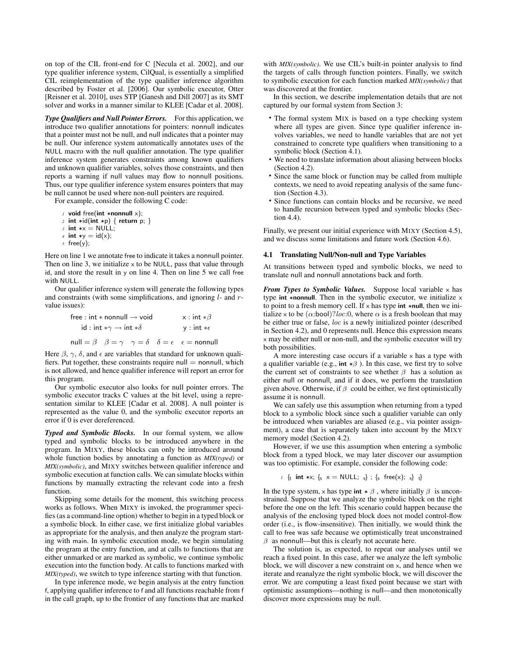on top of the CIL front-end for C [\[Necula et al.](#page-11-10) [2002\]](#page-11-10), and our type qualifier inference system, CilQual, is essentially a simplified CIL reimplementation of the type qualifier inference algorithm described by [Foster et al.](#page-11-1) [\[2006\]](#page-11-1). Our symbolic executor, Otter [\[Reisner et al.](#page-11-11) [2010\]](#page-11-11), uses STP [\[Ganesh and Dill](#page-11-12) [2007\]](#page-11-12) as its SMT solver and works in a manner similar to KLEE [\[Cadar et al.](#page-11-6) [2008\]](#page-11-6).

**Type Qualifiers and Null Pointer Errors.** For this application, we introduce two qualifier annotations for pointers: nonnull indicates that a pointer must not be null, and null indicates that a pointer may be null. Our inference system automatically annotates uses of the NULL macro with the null qualifier annotation. The type qualifier inference system generates constraints among known qualifiers and unknown qualifier variables, solves those constraints, and then reports a warning if null values may flow to nonnull positions. Thus, our type qualifier inference system ensures pointers that may be null cannot be used where non-null pointers are required.

For example, consider the following C code:

- *<sup>1</sup>* void free(int ∗nonnull x);
- *<sup>2</sup>* int ∗id(int ∗p) { return p; }
- $3 \text{ int } *x = \text{NULL}$ ;
- *<sup>4</sup>* int ∗y = id(x);
- *<sup>5</sup>* free(y);

Here on line 1 we annotate free to indicate it takes a nonnull pointer. Then on line 3, we initialize  $\times$  to be NULL, pass that value through id, and store the result in  $y$  on line 4. Then on line 5 we call free with NULL.

Our qualifier inference system will generate the following types and constraints (with some simplifications, and ignoring  $l$ - and  $r$ value issues):

> free : int \* nonnull  $\rightarrow$  void  $x : \text{int} * \beta$ id : int \* $\gamma \rightarrow \text{int} * \delta$  y : int \* $\epsilon$ null =  $\beta$   $\beta = \gamma$   $\gamma = \delta$   $\delta = \epsilon$   $\epsilon$  = nonnull

Here  $\beta$ ,  $\gamma$ ,  $\delta$ , and  $\epsilon$  are variables that standard for unknown qualifiers. Put together, these constraints require null  $=$  nonnull, which is not allowed, and hence qualifier inference will report an error for this program.

Our symbolic executor also looks for null pointer errors. The symbolic executor tracks C values at the bit level, using a representation similar to KLEE [\[Cadar et al.](#page-11-6) [2008\]](#page-11-6). A null pointer is represented as the value 0, and the symbolic executor reports an error if 0 is ever dereferenced.

*Typed and Symbolic Blocks.* In our formal system, we allow typed and symbolic blocks to be introduced anywhere in the program. In MIXY, these blocks can only be introduced around whole function bodies by annotating a function as *MIX(typed)* or *MIX(symbolic)*, and MIXY switches between qualifier inference and symbolic execution at function calls. We can simulate blocks within functions by manually extracting the relevant code into a fresh function.

Skipping some details for the moment, this switching process works as follows. When MIXY is invoked, the programmer specifies (as a command-line option) whether to begin in a typed block or a symbolic block. In either case, we first initialize global variables as appropriate for the analysis, and then analyze the program starting with main. In symbolic execution mode, we begin simulating the program at the entry function, and at calls to functions that are either unmarked or are marked as symbolic, we continue symbolic execution into the function body. At calls to functions marked with *MIX(typed)*, we switch to type inference starting with that function.

In type inference mode, we begin analysis at the entry function f, applying qualifier inference to f and all functions reachable from f in the call graph, up to the frontier of any functions that are marked

with *MIX(symbolic)*. We use CIL's built-in pointer analysis to find the targets of calls through function pointers. Finally, we switch to symbolic execution for each function marked *MIX(symbolic)* that was discovered at the frontier.

In this section, we describe implementation details that are not captured by our formal system from [Section 3:](#page-2-0)

- The formal system MIX is based on a type checking system where all types are given. Since type qualifier inference involves variables, we need to handle variables that are not yet constrained to concrete type qualifiers when transitioning to a symbolic block [\(Section 4.1\)](#page-7-0).
- We need to translate information about aliasing between blocks [\(Section 4.2\)](#page-8-0).
- Since the same block or function may be called from multiple contexts, we need to avoid repeating analysis of the same function [\(Section 4.3\)](#page-8-1).
- Since functions can contain blocks and be recursive, we need to handle recursion between typed and symbolic blocks [\(Sec](#page-8-2)tion  $4.4$ ).

Finally, we present our initial experience with MIXY [\(Section 4.5\)](#page-9-0), and we discuss some limitations and future work [\(Section 4.6\)](#page-10-0).

#### <span id="page-7-0"></span>4.1 Translating Null/Non-null and Type Variables

At transitions between typed and symbolic blocks, we need to translate null and nonnull annotations back and forth.

*From Types to Symbolic Values.* Suppose local variable  $\times$  has type int ∗nonnull. Then in the symbolic executor, we initialize x to point to a fresh memory cell. If x has type int ∗null, then we initialize x to be ( $\alpha$ :bool)?*loc*:0, where  $\alpha$  is a fresh boolean that may be either true or false, loc is a newly initialized pointer (described in [Section 4.2\)](#page-8-0), and 0 represents null. Hence this expression means x may be either null or non-null, and the symbolic executor will try both possibilities.

A more interesting case occurs if a variable  $\times$  has a type with a qualifier variable (e.g., int  $\ast \beta$ ). In this case, we first try to solve the current set of constraints to see whether  $\beta$  has a solution as either null or nonnull, and if it does, we perform the translation given above. Otherwise, if  $\beta$  could be either, we first optimistically assume it is nonnull.

We can safely use this assumption when returning from a typed block to a symbolic block since such a qualifier variable can only be introduced when variables are aliased (e.g., via pointer assignment), a case that is separately taken into account by the MIXY memory model (Section [4.2\)](#page-8-0).

However, if we use this assumption when entering a symbolic block from a typed block, we may later discover our assumption was too optimistic. For example, consider the following code:

$$
I \{t \text{ int } *x; \{s \ x = NULL; s\} ; \{s \ \text{free}(x); s\} \}
$$

In the type system, x has type int  $\ast \beta$ , where initially  $\beta$  is unconstrained. Suppose that we analyze the symbolic block on the right before the one on the left. This scenario could happen because the analysis of the enclosing typed block does not model control-flow order (i.e., is flow-insensitive). Then initially, we would think the call to free was safe because we optimistically treat unconstrained  $\beta$  as nonnull—but this is clearly not accurate here.

The solution is, as expected, to repeat our analyses until we reach a fixed point. In this case, after we analyze the left symbolic block, we will discover a new constraint on x, and hence when we iterate and reanalyze the right symbolic block, we will discover the error. We are computing a least fixed point because we start with optimistic assumptions—nothing is null—and then monotonically discover more expressions may be null.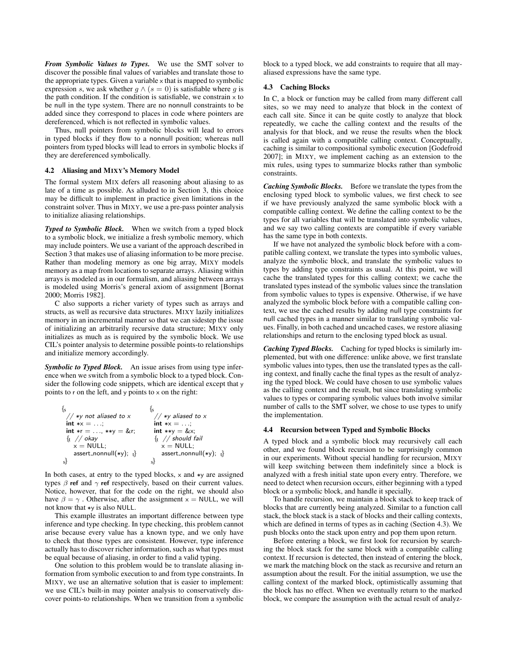*From Symbolic Values to Types.* We use the SMT solver to discover the possible final values of variables and translate those to the appropriate types. Given a variable  $\times$  that is mapped to symbolic expression s, we ask whether  $g \wedge (s = 0)$  is satisfiable where g is the path condition. If the condition is satisfiable, we constrain  $\times$  to be null in the type system. There are no nonnull constraints to be added since they correspond to places in code where pointers are dereferenced, which is not reflected in symbolic values.

Thus, null pointers from symbolic blocks will lead to errors in typed blocks if they flow to a nonnull position; whereas null pointers from typed blocks will lead to errors in symbolic blocks if they are dereferenced symbolically.

#### <span id="page-8-0"></span>4.2 Aliasing and MIXY's Memory Model

The formal system MIX defers all reasoning about aliasing to as late of a time as possible. As alluded to in [Section 3,](#page-2-0) this choice may be difficult to implement in practice given limitations in the constraint solver. Thus in MIXY, we use a pre-pass pointer analysis to initialize aliasing relationships.

*Typed to Symbolic Block.* When we switch from a typed block to a symbolic block, we initialize a fresh symbolic memory, which may include pointers. We use a variant of the approach described in Section [3](#page-2-0) that makes use of aliasing information to be more precise. Rather than modeling memory as one big array, MIXY models memory as a map from locations to separate arrays. Aliasing within arrays is modeled as in our formalism, and aliasing between arrays is modeled using Morris's general axiom of assignment [\[Bornat](#page-11-13) [2000;](#page-11-13) [Morris](#page-11-14) [1982\]](#page-11-14).

C also supports a richer variety of types such as arrays and structs, as well as recursive data structures. MIXY lazily initializes memory in an incremental manner so that we can sidestep the issue of initializing an arbitrarily recursive data structure; MIXY only initializes as much as is required by the symbolic block. We use CIL's pointer analysis to determine possible points-to relationships and initialize memory accordingly.

*Symbolic to Typed Block.* An issue arises from using type inference when we switch from a symbolic block to a typed block. Consider the following code snippets, which are identical except that y points to r on the left, and y points to x on the right:

| // *y not aliased to x      | // *y aliased to $x$      |
|-----------------------------|---------------------------|
| $int \cdot x = \ldots$      | $int \cdot x = \ldots$    |
| int $*r = $ , $**y = &$ r;  | int $**y = \&x$           |
| $\{t \}/\delta$ okay        | $\{t \}/t$ should fail    |
| $x = NULL$                  | $x = NULL$                |
| assert_nonnull(*y); $\{ \}$ | assert_nonnull(*y); $t$ } |
|                             |                           |
|                             |                           |

In both cases, at entry to the typed blocks,  $\times$  and  $*\nu$  are assigned types  $\beta$  ref and  $\gamma$  ref respectively, based on their current values. Notice, however, that for the code on the right, we should also have  $\beta = \gamma$ . Otherwise, after the assignment x = NULL, we will not know that ∗y is also NULL.

This example illustrates an important difference between type inference and type checking. In type checking, this problem cannot arise because every value has a known type, and we only have to check that those types are consistent. However, type inference actually has to discover richer information, such as what types must be equal because of aliasing, in order to find a valid typing.

One solution to this problem would be to translate aliasing information from symbolic execution to and from type constraints. In MIXY, we use an alternative solution that is easier to implement: we use CIL's built-in may pointer analysis to conservatively discover points-to relationships. When we transition from a symbolic block to a typed block, we add constraints to require that all mayaliased expressions have the same type.

## <span id="page-8-1"></span>4.3 Caching Blocks

In C, a block or function may be called from many different call sites, so we may need to analyze that block in the context of each call site. Since it can be quite costly to analyze that block repeatedly, we cache the calling context and the results of the analysis for that block, and we reuse the results when the block is called again with a compatible calling context. Conceptually, caching is similar to compositional symbolic execution [\[Godefroid](#page-11-15) [2007\]](#page-11-15); in MIXY, we implement caching as an extension to the mix rules, using types to summarize blocks rather than symbolic constraints.

*Caching Symbolic Blocks.* Before we translate the types from the enclosing typed block to symbolic values, we first check to see if we have previously analyzed the same symbolic block with a compatible calling context. We define the calling context to be the types for all variables that will be translated into symbolic values, and we say two calling contexts are compatible if every variable has the same type in both contexts.

If we have not analyzed the symbolic block before with a compatible calling context, we translate the types into symbolic values, analyze the symbolic block, and translate the symbolic values to types by adding type constraints as usual. At this point, we will cache the translated types for this calling context; we cache the translated types instead of the symbolic values since the translation from symbolic values to types is expensive. Otherwise, if we have analyzed the symbolic block before with a compatible calling context, we use the cached results by adding null type constraints for null cached types in a manner similar to translating symbolic values. Finally, in both cached and uncached cases, we restore aliasing relationships and return to the enclosing typed block as usual.

*Caching Typed Blocks.* Caching for typed blocks is similarly implemented, but with one difference: unlike above, we first translate symbolic values into types, then use the translated types as the calling context, and finally cache the final types as the result of analyzing the typed block. We could have chosen to use symbolic values as the calling context and the result, but since translating symbolic values to types or comparing symbolic values both involve similar number of calls to the SMT solver, we chose to use types to unify the implementation.

#### <span id="page-8-2"></span>4.4 Recursion between Typed and Symbolic Blocks

A typed block and a symbolic block may recursively call each other, and we found block recursion to be surprisingly common in our experiments. Without special handling for recursion, MIXY will keep switching between them indefinitely since a block is analyzed with a fresh initial state upon every entry. Therefore, we need to detect when recursion occurs, either beginning with a typed block or a symbolic block, and handle it specially.

To handle recursion, we maintain a block stack to keep track of blocks that are currently being analyzed. Similar to a function call stack, the block stack is a stack of blocks and their calling contexts, which are defined in terms of types as in caching [\(Section 4.3\)](#page-8-1). We push blocks onto the stack upon entry and pop them upon return.

Before entering a block, we first look for recursion by searching the block stack for the same block with a compatible calling context. If recursion is detected, then instead of entering the block, we mark the matching block on the stack as recursive and return an assumption about the result. For the initial assumption, we use the calling context of the marked block, optimistically assuming that the block has no effect. When we eventually return to the marked block, we compare the assumption with the actual result of analyz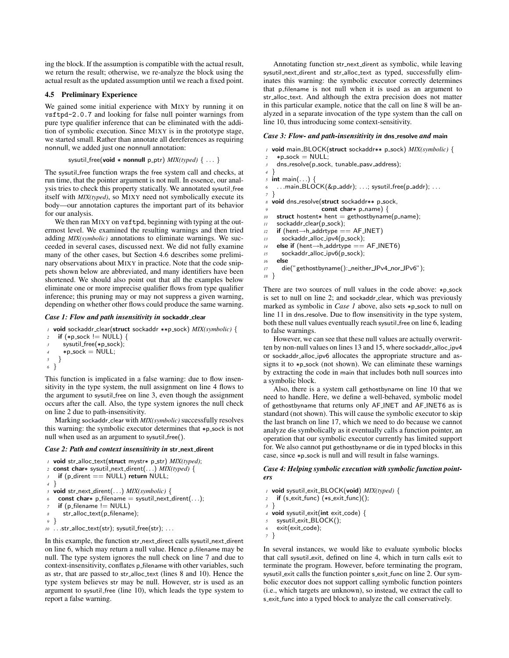ing the block. If the assumption is compatible with the actual result, we return the result; otherwise, we re-analyze the block using the actual result as the updated assumption until we reach a fixed point.

# <span id="page-9-0"></span>4.5 Preliminary Experience

We gained some initial experience with MIXY by running it on vsftpd-2.0.7 and looking for false null pointer warnings from pure type qualifier inference that can be eliminated with the addition of symbolic execution. Since MIXY is in the prototype stage, we started small. Rather than annotate all dereferences as requiring nonnull, we added just one nonnull annotation:

```
sysutil_free(void * nonnull p_ptr) MIX(typed) { ... }
```
The sysutil free function wraps the free system call and checks, at run time, that the pointer argument is not null. In essence, our analysis tries to check this property statically. We annotated sysutil free itself with *MIX(typed)*, so MIXY need not symbolically execute its body—our annotation captures the important part of its behavior for our analysis.

We then ran MIXY on vsf tpd, beginning with typing at the outermost level. We examined the resulting warnings and then tried adding *MIX(symbolic)* annotations to eliminate warnings. We succeeded in several cases, discussed next. We did not fully examine many of the other cases, but [Section 4.6](#page-10-0) describes some preliminary observations about MIXY in practice. Note that the code snippets shown below are abbreviated, and many identifiers have been shortened. We should also point out that all the examples below eliminate one or more imprecise qualifier flows from type qualifier inference; this pruning may or may not suppress a given warning, depending on whether other flows could produce the same warning.

#### *Case 1: Flow and path insensitivity in* sockaddr clear

```
1 void sockaddr clear(struct sockaddr ∗∗p sock) MIX(symbolic) {
```

```
2 if (*p\_sock != NULL) {
     3 sysutil free(∗p sock);
4 ∗p sock = NULL;
5 }
```
*<sup>6</sup>* }

This function is implicated in a false warning: due to flow insensitivity in the type system, the null assignment on line [4](#page-9-1) flows to the argument to sysutil free on line [3,](#page-9-2) even though the assignment occurs after the call. Also, the type system ignores the null check on line [2](#page-9-3) due to path-insensitivity.

Marking sockaddr clear with *MIX(symbolic)* successfully resolves this warning: the symbolic executor determines that ∗p sock is not null when used as an argument to sysutil free().

#### *Case 2: Path and context insensitivity in str\_next\_dirent*

```
1 void str alloc text(struct mystr∗ p str) MIX(typed);
2 const char∗ sysutil next dirent(. . .) MIX(typed) {
\overline{\phantom{a}} if (p_dirent == NULL) return NULL;
4 }
5 void str next dirent(. . .) MIX(symbolic) {
    const char* p_filename = sysutil_next_dirent(...);
    if (p_filename != NULL)
8 str_alloc_text(p_filename);
9 }
10 . . . str_alloc_text(str); sysutil_free(str); . . .
```
<span id="page-9-7"></span><span id="page-9-6"></span><span id="page-9-5"></span>In this example, the function str\_next\_direct calls sysutil\_next\_dirent on line [6,](#page-9-4) which may return a null value. Hence p\_filename may be null. The type system ignores the null check on line [7](#page-9-5) and due to context-insensitivity, conflates p filename with other variables, such as str, that are passed to str\_alloc\_text (lines [8](#page-9-6) and [10\)](#page-9-7). Hence the type system believes str may be null. However, str is used as an argument to sysutil free (line [10\)](#page-9-7), which leads the type system to report a false warning.

Annotating function str\_next\_dirent as symbolic, while leaving sysutil\_next\_dirent and str\_alloc\_text as typed, successfully eliminates this warning: the symbolic executor correctly determines that p filename is not null when it is used as an argument to str alloc text. And although the extra precision does not matter in this particular example, notice that the call on line [8](#page-9-6) will be analyzed in a separate invocation of the type system than the call on line [10,](#page-9-7) thus introducing some context-sensitivity.

# *Case 3: Flow- and path-insensitivity in* dns resolve *and* main

```
1 void main BLOCK(struct sockaddr∗∗ p sock) MIX(symbolic) {
2 \times p_sock = NULL;
```

```
3 dns_resolve(p_sock, tunable_pasv_address);
```

```
4 }
  int main(...) {
```

```
6 ... main_BLOCK(&p_addr); ...; sysutil_free(p_addr); ...
```

```
7 }
```
*8* void dns\_resolve(struct sockaddr\*\* p\_sock, *9* **const char**∗ p\_name) {

```
10 struct hostent* hent = gethostbyname(p_name);
```

```
11 sockaddr_clear(p_sock);
```
- *<sup>12</sup>* if (hent→h addrtype == AF INET)
- <span id="page-9-11"></span>13 sockaddr\_alloc\_ipv4(p\_sock);
- *14* **else if** (hent→h\_addrtype  $=$  AF\_INET6)
- <span id="page-9-12"></span>15 sockaddr\_alloc\_ipv6(p\_sock);
- *<sup>16</sup>* else

```
17 die("gethostbyname(): _neither_IPv4_nor_IPv6");
```

```
18 }
```
There are two sources of null values in the code above: ∗p\_sock is set to null on line [2;](#page-9-8) and sockaddr clear, which was previously marked as symbolic in *Case 1* above, also sets ∗p\_sock to null on line [11](#page-9-9) in dns\_resolve. Due to flow insensitivity in the type system, both these null values eventually reach sysutil free on line [6,](#page-9-10) leading to false warnings.

However, we can see that these null values are actually overwrit-ten by non-null values on lines [13](#page-9-11) and [15,](#page-9-12) where sockaddr\_alloc\_ipv4 or sockaddr\_alloc\_ipv6 allocates the appropriate structure and assigns it to ∗p\_sock (not shown). We can eliminate these warnings by extracting the code in main that includes both null sources into a symbolic block.

Also, there is a system call gethostbyname on line [10](#page-9-13) that we need to handle. Here, we define a well-behaved, symbolic model of gethostbyname that returns only AF INET and AF INET6 as is standard (not shown). This will cause the symbolic executor to skip the last branch on line [17,](#page-9-14) which we need to do because we cannot analyze die symbolically as it eventually calls a function pointer, an operation that our symbolic executor currently has limited support for. We also cannot put gethostbyname or die in typed blocks in this case, since ∗p sock is null and will result in false warnings.

## *Case 4: Helping symbolic execution with symbolic function pointers*

- *<sup>1</sup>* void sysutil exit BLOCK(void) *MIX(typed)* {
- <span id="page-9-16"></span>2 if (s\_exit\_func) (\*s\_exit\_func)();
- *<sup>3</sup>* }
- <span id="page-9-15"></span>4 void sysutil\_exit(int exit\_code) {
- *<sup>5</sup>* sysutil exit BLOCK();
	- exit(exit\_code);
- *<sup>7</sup>* }

In several instances, we would like to evaluate symbolic blocks that call sysutil exit, defined on line [4,](#page-9-15) which in turn calls exit to terminate the program. However, before terminating the program, sysutil exit calls the function pointer s exit func on line [2.](#page-9-16) Our symbolic executor does not support calling symbolic function pointers (i.e., which targets are unknown), so instead, we extract the call to s exit func into a typed block to analyze the call conservatively.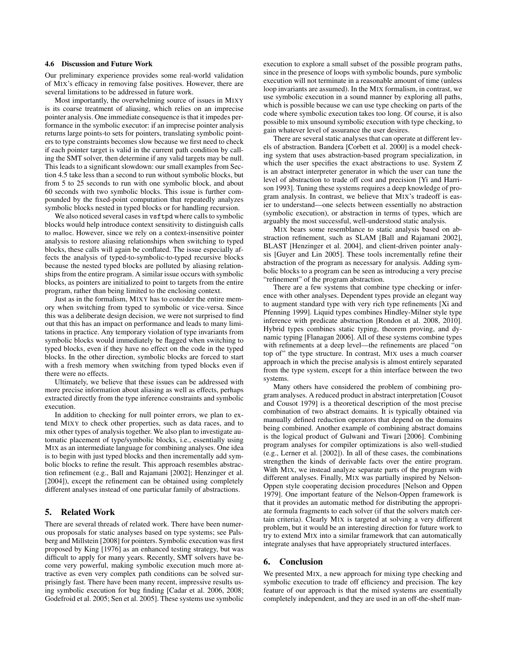# <span id="page-10-0"></span>4.6 Discussion and Future Work

Our preliminary experience provides some real-world validation of MIX's efficacy in removing false positives. However, there are several limitations to be addressed in future work.

Most importantly, the overwhelming source of issues in MIXY is its coarse treatment of aliasing, which relies on an imprecise pointer analysis. One immediate consequence is that it impedes performance in the symbolic executor: if an imprecise pointer analysis returns large points-to sets for pointers, translating symbolic pointers to type constraints becomes slow because we first need to check if each pointer target is valid in the current path condition by calling the SMT solver, then determine if any valid targets may be null. This leads to a significant slowdown: our small examples from [Sec](#page-9-0)[tion 4.5](#page-9-0) take less than a second to run without symbolic blocks, but from 5 to 25 seconds to run with one symbolic block, and about 60 seconds with two symbolic blocks. This issue is further compounded by the fixed-point computation that repeatedly analyzes symbolic blocks nested in typed blocks or for handling recursion.

We also noticed several cases in  $\texttt{vsftd}$  where calls to symbolic blocks would help introduce context sensitivity to distinguish calls to malloc. However, since we rely on a context-insensitive pointer analysis to restore aliasing relationships when switching to typed blocks, these calls will again be conflated. The issue especially affects the analysis of typed-to-symbolic-to-typed recursive blocks because the nested typed blocks are polluted by aliasing relationships from the entire program. A similar issue occurs with symbolic blocks, as pointers are initialized to point to targets from the entire program, rather than being limited to the enclosing context.

Just as in the formalism, MIXY has to consider the entire memory when switching from typed to symbolic or vice-versa. Since this was a deliberate design decision, we were not surprised to find out that this has an impact on performance and leads to many limitations in practice. Any temporary violation of type invariants from symbolic blocks would immediately be flagged when switching to typed blocks, even if they have no effect on the code in the typed blocks. In the other direction, symbolic blocks are forced to start with a fresh memory when switching from typed blocks even if there were no effects.

Ultimately, we believe that these issues can be addressed with more precise information about aliasing as well as effects, perhaps extracted directly from the type inference constraints and symbolic execution.

In addition to checking for null pointer errors, we plan to extend MIXY to check other properties, such as data races, and to mix other types of analysis together. We also plan to investigate automatic placement of type/symbolic blocks, i.e., essentially using MIX as an intermediate language for combining analyses. One idea is to begin with just typed blocks and then incrementally add symbolic blocks to refine the result. This approach resembles abstraction refinement (e.g., [Ball and Rajamani](#page-11-16) [\[2002\]](#page-11-16); [Henzinger et al.](#page-11-17) [\[2004\]](#page-11-17)), except the refinement can be obtained using completely different analyses instead of one particular family of abstractions.

# 5. Related Work

There are several threads of related work. There have been numerous proposals for static analyses based on type systems; see [Pals](#page-11-18)[berg and Millstein](#page-11-18) [\[2008\]](#page-11-18) for pointers. Symbolic execution was first proposed by [King](#page-11-0) [\[1976\]](#page-11-0) as an enhanced testing strategy, but was difficult to apply for many years. Recently, SMT solvers have become very powerful, making symbolic execution much more attractive as even very complex path conditions can be solved surprisingly fast. There have been many recent, impressive results using symbolic execution for bug finding [\[Cadar et al.](#page-11-5) [2006,](#page-11-5) [2008;](#page-11-6) [Godefroid et al.](#page-11-3) [2005;](#page-11-3) [Sen et al.](#page-11-4) [2005\]](#page-11-4). These systems use symbolic

execution to explore a small subset of the possible program paths, since in the presence of loops with symbolic bounds, pure symbolic execution will not terminate in a reasonable amount of time (unless loop invariants are assumed). In the MIX formalism, in contrast, we use symbolic execution in a sound manner by exploring all paths, which is possible because we can use type checking on parts of the code where symbolic execution takes too long. Of course, it is also possible to mix unsound symbolic execution with type checking, to gain whatever level of assurance the user desires.

There are several static analyses that can operate at different levels of abstraction. Bandera [\[Corbett et al.](#page-11-19) [2000\]](#page-11-19) is a model checking system that uses abstraction-based program specialization, in which the user specifies the exact abstractions to use. System Z is an abstract interpreter generator in which the user can tune the level of abstraction to trade off cost and precision [\[Yi and Harri](#page-11-20)[son](#page-11-20) [1993\]](#page-11-20). Tuning these systems requires a deep knowledge of program analysis. In contrast, we believe that MIX's tradeoff is easier to understand—one selects between essentially no abstraction (symbolic execution), or abstraction in terms of types, which are arguably the most successful, well-understood static analysis.

MIX bears some resemblance to static analysis based on abstraction refinement, such as SLAM [\[Ball and Rajamani](#page-11-16) [2002\]](#page-11-16), BLAST [\[Henzinger et al.](#page-11-17) [2004\]](#page-11-17), and client-driven pointer analysis [\[Guyer and Lin](#page-11-21) [2005\]](#page-11-21). These tools incrementally refine their abstraction of the program as necessary for analysis. Adding symbolic blocks to a program can be seen as introducing a very precise "refinement" of the program abstraction.

There are a few systems that combine type checking or inference with other analyses. Dependent types provide an elegant way to augment standard type with very rich type refinements [\[Xi and](#page-11-22) [Pfenning](#page-11-22) [1999\]](#page-11-22). Liquid types combines Hindley-Milner style type inference with predicate abstraction [\[Rondon et al.](#page-11-23) [2008,](#page-11-23) [2010\]](#page-11-24). Hybrid types combines static typing, theorem proving, and dynamic typing [\[Flanagan](#page-11-25) [2006\]](#page-11-25). All of these systems combine types with refinements at a deep level—the refinements are placed "on top of" the type structure. In contrast, MIX uses a much coarser approach in which the precise analysis is almost entirely separated from the type system, except for a thin interface between the two systems.

Many others have considered the problem of combining program analyses. A reduced product in abstract interpretation [\[Cousot](#page-11-8) [and Cousot](#page-11-8) [1979\]](#page-11-8) is a theoretical description of the most precise combination of two abstract domains. It is typically obtained via manually defined reduction operators that depend on the domains being combined. Another example of combining abstract domains is the logical product of [Gulwani and Tiwari](#page-11-26) [\[2006\]](#page-11-26). Combining program analyses for compiler optimizations is also well-studied (e.g., [Lerner et al.](#page-11-27) [\[2002\]](#page-11-27)). In all of these cases, the combinations strengthen the kinds of derivable facts over the entire program. With MIX, we instead analyze separate parts of the program with different analyses. Finally, MIX was partially inspired by Nelson-Oppen style cooperating decision procedures [\[Nelson and Oppen](#page-11-28) [1979\]](#page-11-28). One important feature of the Nelson-Oppen framework is that it provides an automatic method for distributing the appropriate formula fragments to each solver (if that the solvers match certain criteria). Clearly MIX is targeted at solving a very different problem, but it would be an interesting direction for future work to try to extend MIX into a similar framework that can automatically integrate analyses that have appropriately structured interfaces.

## 6. Conclusion

We presented MIX, a new approach for mixing type checking and symbolic execution to trade off efficiency and precision. The key feature of our approach is that the mixed systems are essentially completely independent, and they are used in an off-the-shelf man